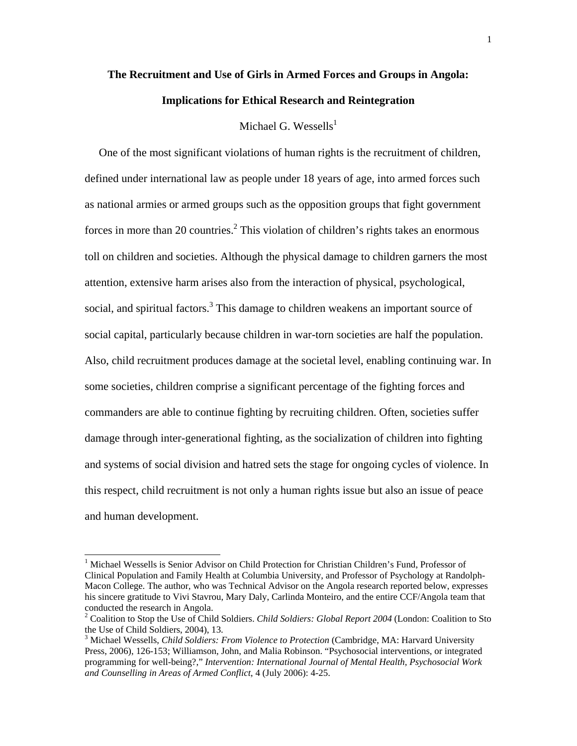# **The Recruitment and Use of Girls in Armed Forces and Groups in Angola: Implications for Ethical Research and Reintegration**

Michael G. Wessells $^1$ 

 One of the most significant violations of human rights is the recruitment of children, defined under international law as people under 18 years of age, into armed forces such as national armies or armed groups such as the opposition groups that fight government forces in more than 20 countries.<sup>2</sup> This violation of children's rights takes an enormous toll on children and societies. Although the physical damage to children garners the most attention, extensive harm arises also from the interaction of physical, psychological, social, and spiritual factors.<sup>3</sup> This damage to children weakens an important source of social capital, particularly because children in war-torn societies are half the population. Also, child recruitment produces damage at the societal level, enabling continuing war. In some societies, children comprise a significant percentage of the fighting forces and commanders are able to continue fighting by recruiting children. Often, societies suffer damage through inter-generational fighting, as the socialization of children into fighting and systems of social division and hatred sets the stage for ongoing cycles of violence. In this respect, child recruitment is not only a human rights issue but also an issue of peace and human development.

<sup>&</sup>lt;sup>1</sup> Michael Wessells is Senior Advisor on Child Protection for Christian Children's Fund, Professor of Clinical Population and Family Health at Columbia University, and Professor of Psychology at Randolph-Macon College. The author, who was Technical Advisor on the Angola research reported below, expresses his sincere gratitude to Vivi Stavrou, Mary Daly, Carlinda Monteiro, and the entire CCF/Angola team that conducted the research in Angola.

<sup>2</sup> Coalition to Stop the Use of Child Soldiers. *Child Soldiers: Global Report 2004* (London: Coalition to Sto the Use of Child Soldiers, 2004), 13.

<sup>3</sup> Michael Wessells, *Child Soldiers: From Violence to Protection* (Cambridge, MA: Harvard University Press, 2006), 126-153; Williamson, John, and Malia Robinson. "Psychosocial interventions, or integrated programming for well-being?," *Intervention: International Journal of Mental Health, Psychosocial Work and Counselling in Areas of Armed Conflict*, 4 (July 2006): 4-25.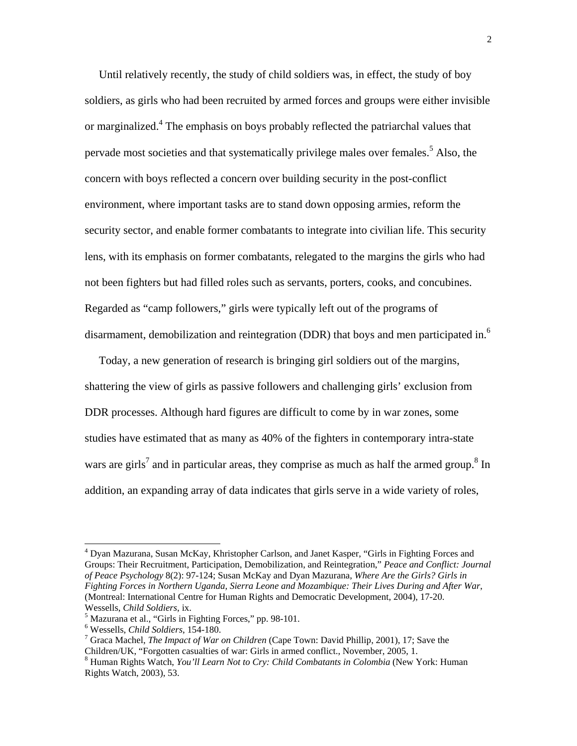Until relatively recently, the study of child soldiers was, in effect, the study of boy soldiers, as girls who had been recruited by armed forces and groups were either invisible or marginalized.<sup>4</sup> The emphasis on boys probably reflected the patriarchal values that pervade most societies and that systematically privilege males over females.<sup>5</sup> Also, the concern with boys reflected a concern over building security in the post-conflict environment, where important tasks are to stand down opposing armies, reform the security sector, and enable former combatants to integrate into civilian life. This security lens, with its emphasis on former combatants, relegated to the margins the girls who had not been fighters but had filled roles such as servants, porters, cooks, and concubines. Regarded as "camp followers," girls were typically left out of the programs of disarmament, demobilization and reintegration (DDR) that boys and men participated in.<sup>6</sup>

 Today, a new generation of research is bringing girl soldiers out of the margins, shattering the view of girls as passive followers and challenging girls' exclusion from DDR processes. Although hard figures are difficult to come by in war zones, some studies have estimated that as many as 40% of the fighters in contemporary intra-state wars are girls<sup>7</sup> and in particular areas, they comprise as much as half the armed group.<sup>8</sup> In addition, an expanding array of data indicates that girls serve in a wide variety of roles,

<sup>&</sup>lt;sup>4</sup> Dyan Mazurana, Susan McKay, Khristopher Carlson, and Janet Kasper, "Girls in Fighting Forces and Groups: Their Recruitment, Participation, Demobilization, and Reintegration," *Peace and Conflict: Journal of Peace Psychology* 8(2): 97-124; Susan McKay and Dyan Mazurana, *Where Are the Girls? Girls in Fighting Forces in Northern Uganda, Sierra Leone and Mozambique: Their Lives During and After War*, (Montreal: International Centre for Human Rights and Democratic Development, 2004), 17-20. Wessells, *Child Soldiers*, ix. 5

 $<sup>5</sup>$  Mazurana et al., "Girls in Fighting Forces," pp. 98-101.</sup>

<sup>&</sup>lt;sup>6</sup> Wessells, *Child Soldiers*, 154-180.

Graca Machel, *The Impact of War on Children* (Cape Town: David Phillip, 2001), 17; Save the Children/UK, "Forgotten casualties of war: Girls in armed conflict., November, 2005, 1. 8

Human Rights Watch, *You'll Learn Not to Cry: Child Combatants in Colombia* (New York: Human Rights Watch, 2003), 53.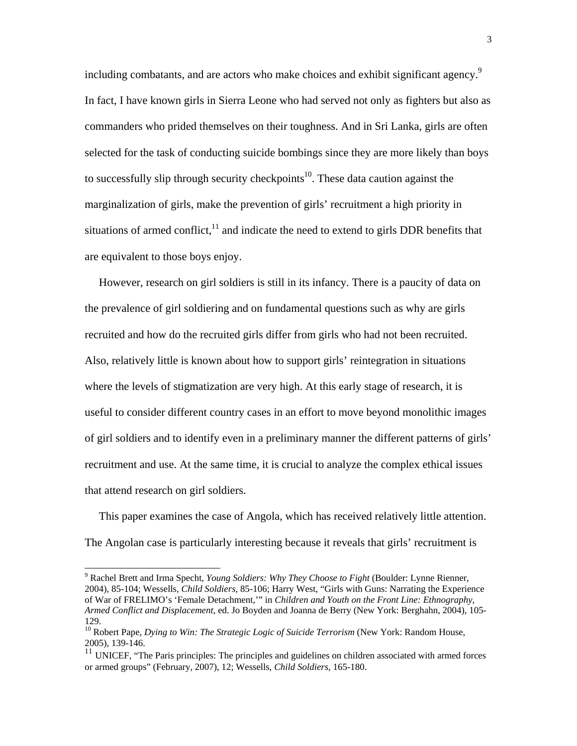including combatants, and are actors who make choices and exhibit significant agency.<sup>9</sup> In fact, I have known girls in Sierra Leone who had served not only as fighters but also as commanders who prided themselves on their toughness. And in Sri Lanka, girls are often selected for the task of conducting suicide bombings since they are more likely than boys to successfully slip through security checkpoints<sup>10</sup>. These data caution against the marginalization of girls, make the prevention of girls' recruitment a high priority in situations of armed conflict, $11$  and indicate the need to extend to girls DDR benefits that are equivalent to those boys enjoy.

 However, research on girl soldiers is still in its infancy. There is a paucity of data on the prevalence of girl soldiering and on fundamental questions such as why are girls recruited and how do the recruited girls differ from girls who had not been recruited. Also, relatively little is known about how to support girls' reintegration in situations where the levels of stigmatization are very high. At this early stage of research, it is useful to consider different country cases in an effort to move beyond monolithic images of girl soldiers and to identify even in a preliminary manner the different patterns of girls' recruitment and use. At the same time, it is crucial to analyze the complex ethical issues that attend research on girl soldiers.

 This paper examines the case of Angola, which has received relatively little attention. The Angolan case is particularly interesting because it reveals that girls' recruitment is

<sup>9</sup> Rachel Brett and Irma Specht, *Young Soldiers: Why They Choose to Fight* (Boulder: Lynne Rienner, 2004), 85-104; Wessells, *Child Soldiers*, 85-106; Harry West, "Girls with Guns: Narrating the Experience of War of FRELIMO's 'Female Detachment,'" in *Children and Youth on the Front Line: Ethnography, Armed Conflict and Displacement*, ed. Jo Boyden and Joanna de Berry (New York: Berghahn, 2004), 105- 129.

<sup>10</sup> Robert Pape, *Dying to Win: The Strategic Logic of Suicide Terrorism* (New York: Random House, 2005), 139-146.

<sup>&</sup>lt;sup>11</sup> UNICEF, "The Paris principles: The principles and guidelines on children associated with armed forces or armed groups" (February, 2007), 12; Wessells, *Child Soldiers*, 165-180.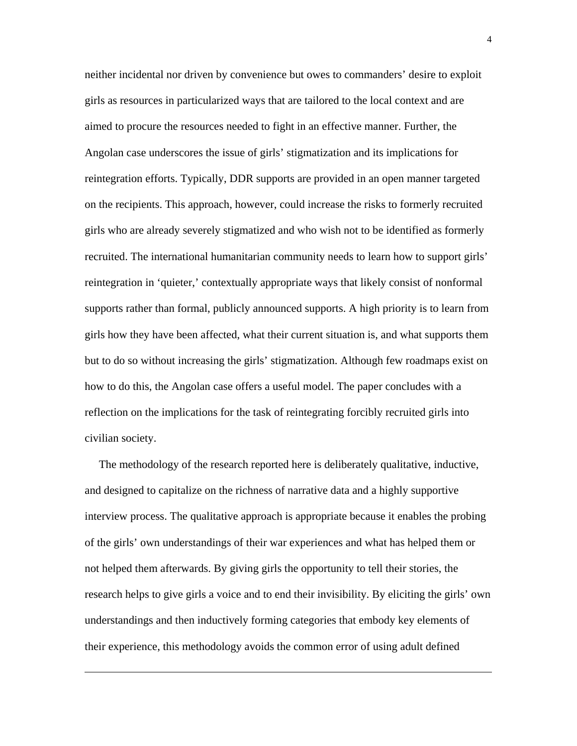neither incidental nor driven by convenience but owes to commanders' desire to exploit girls as resources in particularized ways that are tailored to the local context and are aimed to procure the resources needed to fight in an effective manner. Further, the Angolan case underscores the issue of girls' stigmatization and its implications for reintegration efforts. Typically, DDR supports are provided in an open manner targeted on the recipients. This approach, however, could increase the risks to formerly recruited girls who are already severely stigmatized and who wish not to be identified as formerly recruited. The international humanitarian community needs to learn how to support girls' reintegration in 'quieter,' contextually appropriate ways that likely consist of nonformal supports rather than formal, publicly announced supports. A high priority is to learn from girls how they have been affected, what their current situation is, and what supports them but to do so without increasing the girls' stigmatization. Although few roadmaps exist on how to do this, the Angolan case offers a useful model. The paper concludes with a reflection on the implications for the task of reintegrating forcibly recruited girls into civilian society.

 The methodology of the research reported here is deliberately qualitative, inductive, and designed to capitalize on the richness of narrative data and a highly supportive interview process. The qualitative approach is appropriate because it enables the probing of the girls' own understandings of their war experiences and what has helped them or not helped them afterwards. By giving girls the opportunity to tell their stories, the research helps to give girls a voice and to end their invisibility. By eliciting the girls' own understandings and then inductively forming categories that embody key elements of their experience, this methodology avoids the common error of using adult defined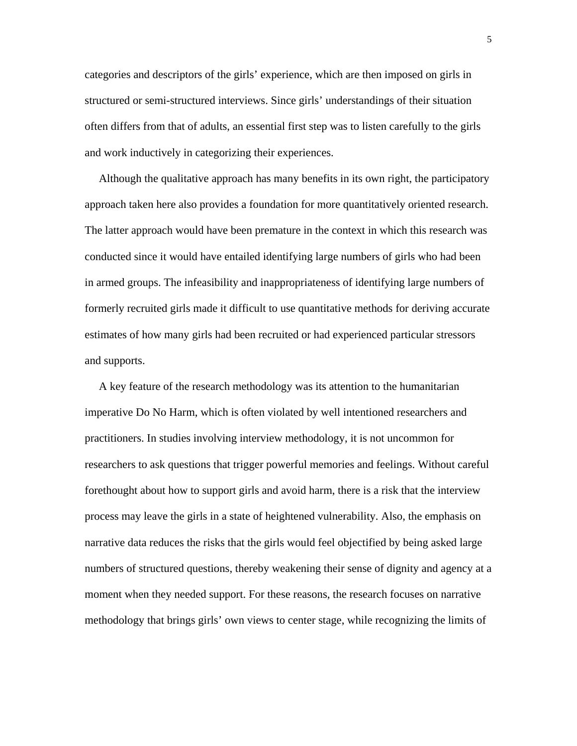categories and descriptors of the girls' experience, which are then imposed on girls in structured or semi-structured interviews. Since girls' understandings of their situation often differs from that of adults, an essential first step was to listen carefully to the girls and work inductively in categorizing their experiences.

 Although the qualitative approach has many benefits in its own right, the participatory approach taken here also provides a foundation for more quantitatively oriented research. The latter approach would have been premature in the context in which this research was conducted since it would have entailed identifying large numbers of girls who had been in armed groups. The infeasibility and inappropriateness of identifying large numbers of formerly recruited girls made it difficult to use quantitative methods for deriving accurate estimates of how many girls had been recruited or had experienced particular stressors and supports.

 A key feature of the research methodology was its attention to the humanitarian imperative Do No Harm, which is often violated by well intentioned researchers and practitioners. In studies involving interview methodology, it is not uncommon for researchers to ask questions that trigger powerful memories and feelings. Without careful forethought about how to support girls and avoid harm, there is a risk that the interview process may leave the girls in a state of heightened vulnerability. Also, the emphasis on narrative data reduces the risks that the girls would feel objectified by being asked large numbers of structured questions, thereby weakening their sense of dignity and agency at a moment when they needed support. For these reasons, the research focuses on narrative methodology that brings girls' own views to center stage, while recognizing the limits of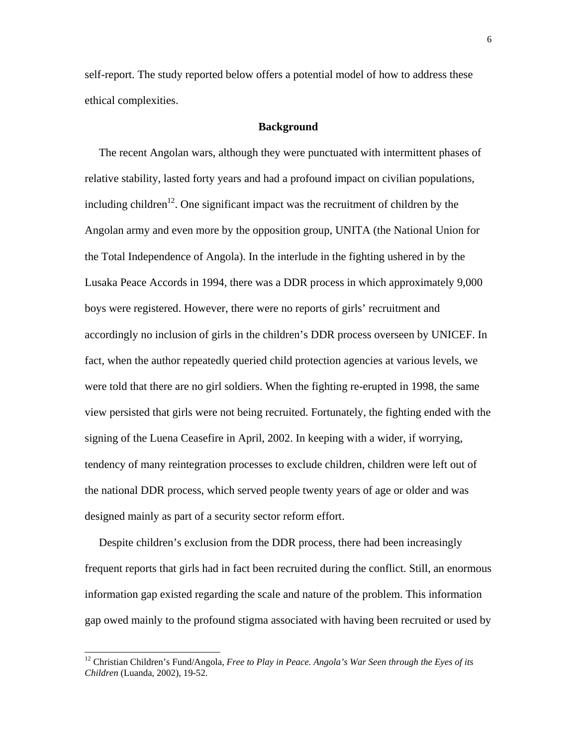self-report. The study reported below offers a potential model of how to address these ethical complexities.

# **Background**

 The recent Angolan wars, although they were punctuated with intermittent phases of relative stability, lasted forty years and had a profound impact on civilian populations, including children<sup>12</sup>. One significant impact was the recruitment of children by the Angolan army and even more by the opposition group, UNITA (the National Union for the Total Independence of Angola). In the interlude in the fighting ushered in by the Lusaka Peace Accords in 1994, there was a DDR process in which approximately 9,000 boys were registered. However, there were no reports of girls' recruitment and accordingly no inclusion of girls in the children's DDR process overseen by UNICEF. In fact, when the author repeatedly queried child protection agencies at various levels, we were told that there are no girl soldiers. When the fighting re-erupted in 1998, the same view persisted that girls were not being recruited. Fortunately, the fighting ended with the signing of the Luena Ceasefire in April, 2002. In keeping with a wider, if worrying, tendency of many reintegration processes to exclude children, children were left out of the national DDR process, which served people twenty years of age or older and was designed mainly as part of a security sector reform effort.

 Despite children's exclusion from the DDR process, there had been increasingly frequent reports that girls had in fact been recruited during the conflict. Still, an enormous information gap existed regarding the scale and nature of the problem. This information gap owed mainly to the profound stigma associated with having been recruited or used by

<sup>&</sup>lt;sup>12</sup> Christian Children's Fund/Angola, *Free to Play in Peace. Angola's War Seen through the Eyes of its Children* (Luanda, 2002), 19-52.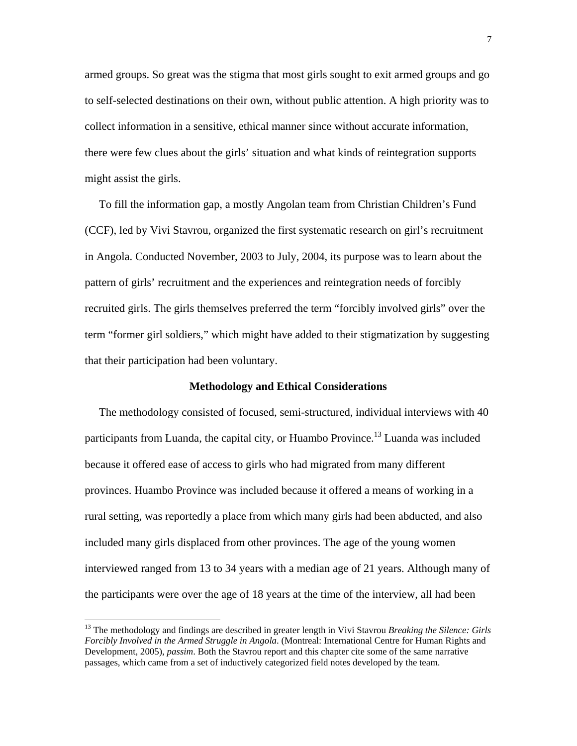armed groups. So great was the stigma that most girls sought to exit armed groups and go to self-selected destinations on their own, without public attention. A high priority was to collect information in a sensitive, ethical manner since without accurate information, there were few clues about the girls' situation and what kinds of reintegration supports might assist the girls.

 To fill the information gap, a mostly Angolan team from Christian Children's Fund (CCF), led by Vivi Stavrou, organized the first systematic research on girl's recruitment in Angola. Conducted November, 2003 to July, 2004, its purpose was to learn about the pattern of girls' recruitment and the experiences and reintegration needs of forcibly recruited girls. The girls themselves preferred the term "forcibly involved girls" over the term "former girl soldiers," which might have added to their stigmatization by suggesting that their participation had been voluntary.

# **Methodology and Ethical Considerations**

 The methodology consisted of focused, semi-structured, individual interviews with 40 participants from Luanda, the capital city, or Huambo Province.<sup>13</sup> Luanda was included because it offered ease of access to girls who had migrated from many different provinces. Huambo Province was included because it offered a means of working in a rural setting, was reportedly a place from which many girls had been abducted, and also included many girls displaced from other provinces. The age of the young women interviewed ranged from 13 to 34 years with a median age of 21 years. Although many of the participants were over the age of 18 years at the time of the interview, all had been

<sup>13</sup> The methodology and findings are described in greater length in Vivi Stavrou *Breaking the Silence: Girls Forcibly Involved in the Armed Struggle in Angola*. (Montreal: International Centre for Human Rights and Development, 2005), *passim*. Both the Stavrou report and this chapter cite some of the same narrative passages, which came from a set of inductively categorized field notes developed by the team.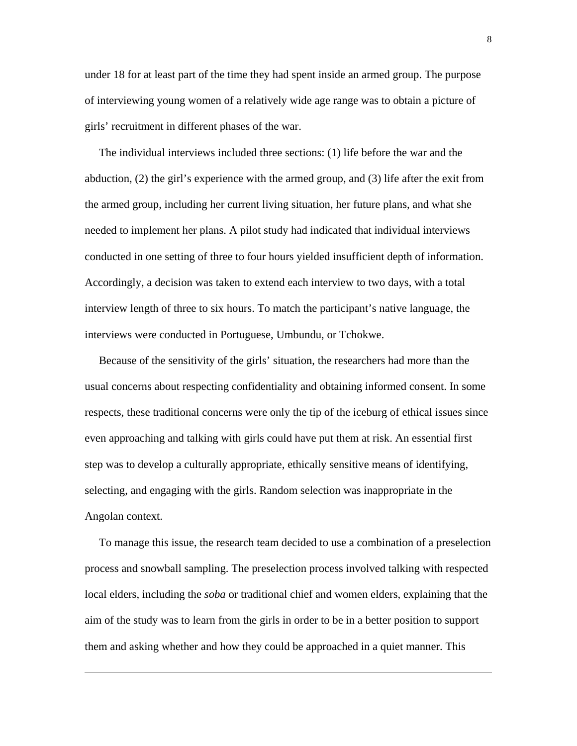under 18 for at least part of the time they had spent inside an armed group. The purpose of interviewing young women of a relatively wide age range was to obtain a picture of girls' recruitment in different phases of the war.

 The individual interviews included three sections: (1) life before the war and the abduction, (2) the girl's experience with the armed group, and (3) life after the exit from the armed group, including her current living situation, her future plans, and what she needed to implement her plans. A pilot study had indicated that individual interviews conducted in one setting of three to four hours yielded insufficient depth of information. Accordingly, a decision was taken to extend each interview to two days, with a total interview length of three to six hours. To match the participant's native language, the interviews were conducted in Portuguese, Umbundu, or Tchokwe.

 Because of the sensitivity of the girls' situation, the researchers had more than the usual concerns about respecting confidentiality and obtaining informed consent. In some respects, these traditional concerns were only the tip of the iceburg of ethical issues since even approaching and talking with girls could have put them at risk. An essential first step was to develop a culturally appropriate, ethically sensitive means of identifying, selecting, and engaging with the girls. Random selection was inappropriate in the Angolan context.

 To manage this issue, the research team decided to use a combination of a preselection process and snowball sampling. The preselection process involved talking with respected local elders, including the *soba* or traditional chief and women elders, explaining that the aim of the study was to learn from the girls in order to be in a better position to support them and asking whether and how they could be approached in a quiet manner. This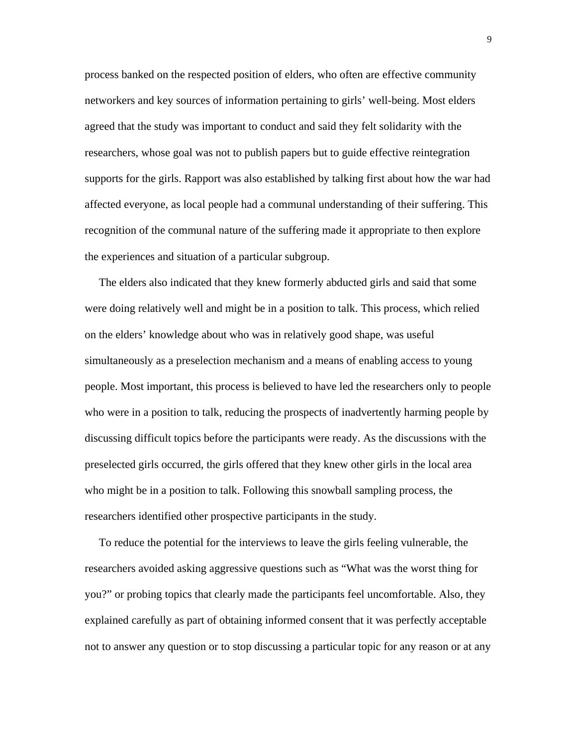process banked on the respected position of elders, who often are effective community networkers and key sources of information pertaining to girls' well-being. Most elders agreed that the study was important to conduct and said they felt solidarity with the researchers, whose goal was not to publish papers but to guide effective reintegration supports for the girls. Rapport was also established by talking first about how the war had affected everyone, as local people had a communal understanding of their suffering. This recognition of the communal nature of the suffering made it appropriate to then explore the experiences and situation of a particular subgroup.

 The elders also indicated that they knew formerly abducted girls and said that some were doing relatively well and might be in a position to talk. This process, which relied on the elders' knowledge about who was in relatively good shape, was useful simultaneously as a preselection mechanism and a means of enabling access to young people. Most important, this process is believed to have led the researchers only to people who were in a position to talk, reducing the prospects of inadvertently harming people by discussing difficult topics before the participants were ready. As the discussions with the preselected girls occurred, the girls offered that they knew other girls in the local area who might be in a position to talk. Following this snowball sampling process, the researchers identified other prospective participants in the study.

 To reduce the potential for the interviews to leave the girls feeling vulnerable, the researchers avoided asking aggressive questions such as "What was the worst thing for you?" or probing topics that clearly made the participants feel uncomfortable. Also, they explained carefully as part of obtaining informed consent that it was perfectly acceptable not to answer any question or to stop discussing a particular topic for any reason or at any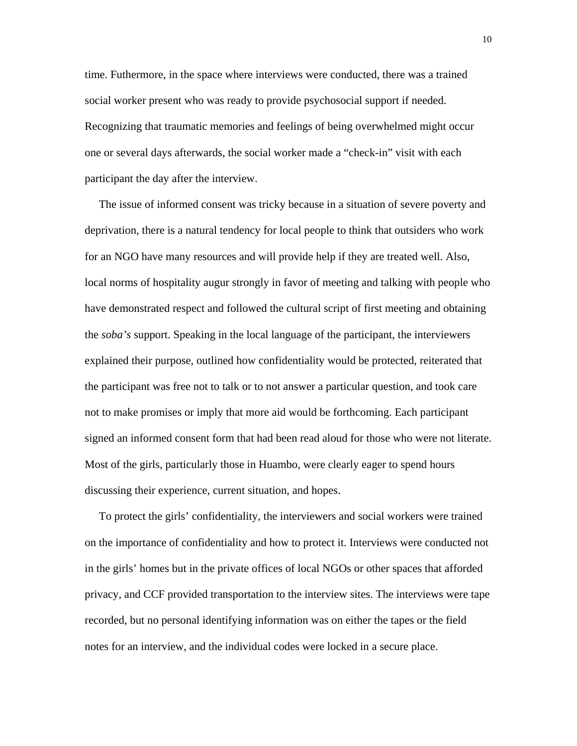time. Futhermore, in the space where interviews were conducted, there was a trained social worker present who was ready to provide psychosocial support if needed. Recognizing that traumatic memories and feelings of being overwhelmed might occur one or several days afterwards, the social worker made a "check-in" visit with each participant the day after the interview.

 The issue of informed consent was tricky because in a situation of severe poverty and deprivation, there is a natural tendency for local people to think that outsiders who work for an NGO have many resources and will provide help if they are treated well. Also, local norms of hospitality augur strongly in favor of meeting and talking with people who have demonstrated respect and followed the cultural script of first meeting and obtaining the *soba's* support. Speaking in the local language of the participant, the interviewers explained their purpose, outlined how confidentiality would be protected, reiterated that the participant was free not to talk or to not answer a particular question, and took care not to make promises or imply that more aid would be forthcoming. Each participant signed an informed consent form that had been read aloud for those who were not literate. Most of the girls, particularly those in Huambo, were clearly eager to spend hours discussing their experience, current situation, and hopes.

 To protect the girls' confidentiality, the interviewers and social workers were trained on the importance of confidentiality and how to protect it. Interviews were conducted not in the girls' homes but in the private offices of local NGOs or other spaces that afforded privacy, and CCF provided transportation to the interview sites. The interviews were tape recorded, but no personal identifying information was on either the tapes or the field notes for an interview, and the individual codes were locked in a secure place.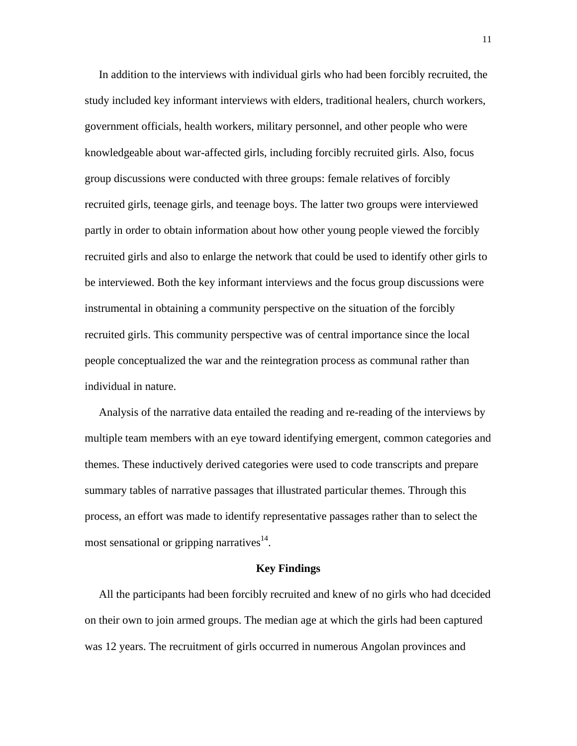In addition to the interviews with individual girls who had been forcibly recruited, the study included key informant interviews with elders, traditional healers, church workers, government officials, health workers, military personnel, and other people who were knowledgeable about war-affected girls, including forcibly recruited girls. Also, focus group discussions were conducted with three groups: female relatives of forcibly recruited girls, teenage girls, and teenage boys. The latter two groups were interviewed partly in order to obtain information about how other young people viewed the forcibly recruited girls and also to enlarge the network that could be used to identify other girls to be interviewed. Both the key informant interviews and the focus group discussions were instrumental in obtaining a community perspective on the situation of the forcibly recruited girls. This community perspective was of central importance since the local people conceptualized the war and the reintegration process as communal rather than individual in nature.

 Analysis of the narrative data entailed the reading and re-reading of the interviews by multiple team members with an eye toward identifying emergent, common categories and themes. These inductively derived categories were used to code transcripts and prepare summary tables of narrative passages that illustrated particular themes. Through this process, an effort was made to identify representative passages rather than to select the most sensational or gripping narratives $^{14}$ .

#### **Key Findings**

 All the participants had been forcibly recruited and knew of no girls who had dcecided on their own to join armed groups. The median age at which the girls had been captured was 12 years. The recruitment of girls occurred in numerous Angolan provinces and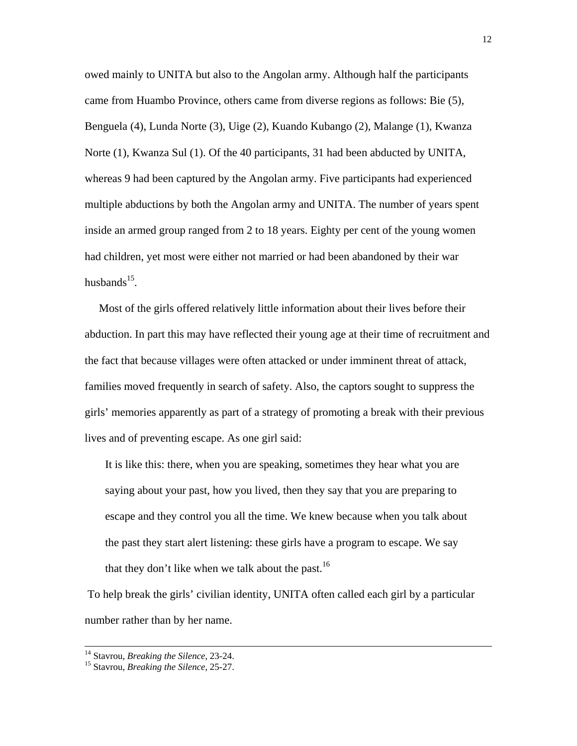owed mainly to UNITA but also to the Angolan army. Although half the participants came from Huambo Province, others came from diverse regions as follows: Bie (5), Benguela (4), Lunda Norte (3), Uige (2), Kuando Kubango (2), Malange (1), Kwanza Norte (1), Kwanza Sul (1). Of the 40 participants, 31 had been abducted by UNITA, whereas 9 had been captured by the Angolan army. Five participants had experienced multiple abductions by both the Angolan army and UNITA. The number of years spent inside an armed group ranged from 2 to 18 years. Eighty per cent of the young women had children, yet most were either not married or had been abandoned by their war husbands $^{15}$ .

 Most of the girls offered relatively little information about their lives before their abduction. In part this may have reflected their young age at their time of recruitment and the fact that because villages were often attacked or under imminent threat of attack, families moved frequently in search of safety. Also, the captors sought to suppress the girls' memories apparently as part of a strategy of promoting a break with their previous lives and of preventing escape. As one girl said:

It is like this: there, when you are speaking, sometimes they hear what you are saying about your past, how you lived, then they say that you are preparing to escape and they control you all the time. We knew because when you talk about the past they start alert listening: these girls have a program to escape. We say that they don't like when we talk about the past.<sup>16</sup>

 To help break the girls' civilian identity, UNITA often called each girl by a particular number rather than by her name.

 <sup>14</sup> Stavrou, *Breaking the Silence*, 23-24. 15 Stavrou, *Breaking the Silence*, 25-27.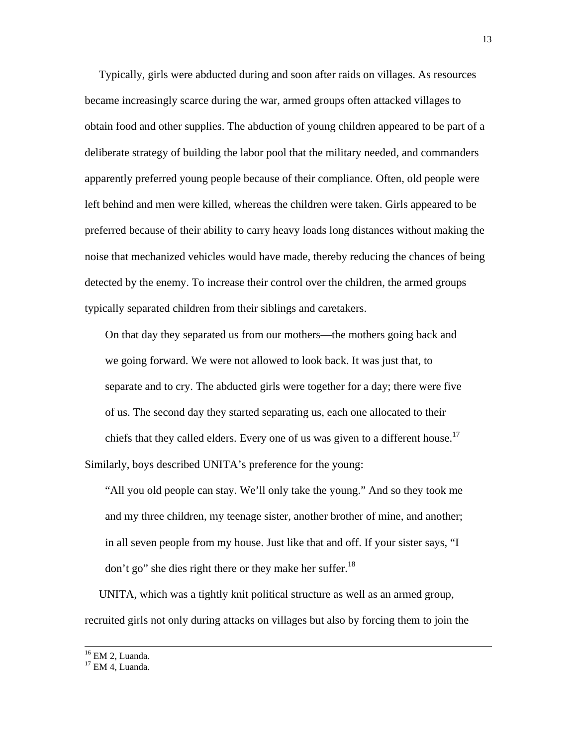Typically, girls were abducted during and soon after raids on villages. As resources became increasingly scarce during the war, armed groups often attacked villages to obtain food and other supplies. The abduction of young children appeared to be part of a deliberate strategy of building the labor pool that the military needed, and commanders apparently preferred young people because of their compliance. Often, old people were left behind and men were killed, whereas the children were taken. Girls appeared to be preferred because of their ability to carry heavy loads long distances without making the noise that mechanized vehicles would have made, thereby reducing the chances of being detected by the enemy. To increase their control over the children, the armed groups typically separated children from their siblings and caretakers.

On that day they separated us from our mothers—the mothers going back and we going forward. We were not allowed to look back. It was just that, to separate and to cry. The abducted girls were together for a day; there were five of us. The second day they started separating us, each one allocated to their chiefs that they called elders. Every one of us was given to a different house.<sup>17</sup> Similarly, boys described UNITA's preference for the young:

"All you old people can stay. We'll only take the young." And so they took me and my three children, my teenage sister, another brother of mine, and another; in all seven people from my house. Just like that and off. If your sister says, "I don't go" she dies right there or they make her suffer.<sup>18</sup>

 UNITA, which was a tightly knit political structure as well as an armed group, recruited girls not only during attacks on villages but also by forcing them to join the

<sup>&</sup>lt;sup>16</sup> EM 2, Luanda.

 $17$  FM 4. Luanda.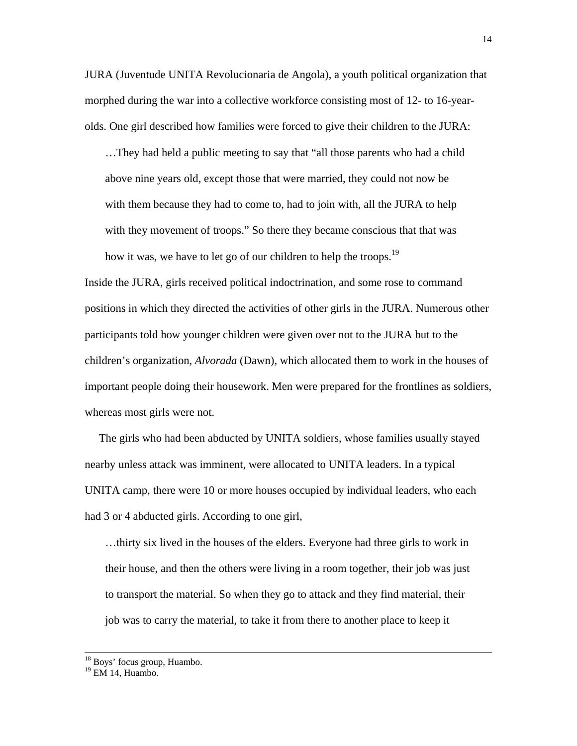JURA (Juventude UNITA Revolucionaria de Angola), a youth political organization that morphed during the war into a collective workforce consisting most of 12- to 16-yearolds. One girl described how families were forced to give their children to the JURA:

…They had held a public meeting to say that "all those parents who had a child above nine years old, except those that were married, they could not now be with them because they had to come to, had to join with, all the JURA to help with they movement of troops." So there they became conscious that that was how it was, we have to let go of our children to help the troops.<sup>19</sup>

Inside the JURA, girls received political indoctrination, and some rose to command positions in which they directed the activities of other girls in the JURA. Numerous other participants told how younger children were given over not to the JURA but to the children's organization, *Alvorada* (Dawn), which allocated them to work in the houses of important people doing their housework. Men were prepared for the frontlines as soldiers, whereas most girls were not.

 The girls who had been abducted by UNITA soldiers, whose families usually stayed nearby unless attack was imminent, were allocated to UNITA leaders. In a typical UNITA camp, there were 10 or more houses occupied by individual leaders, who each had 3 or 4 abducted girls. According to one girl,

…thirty six lived in the houses of the elders. Everyone had three girls to work in their house, and then the others were living in a room together, their job was just to transport the material. So when they go to attack and they find material, their job was to carry the material, to take it from there to another place to keep it

 <sup>18</sup> Boys' focus group, Huambo.

<sup>&</sup>lt;sup>19</sup> EM 14, Huambo.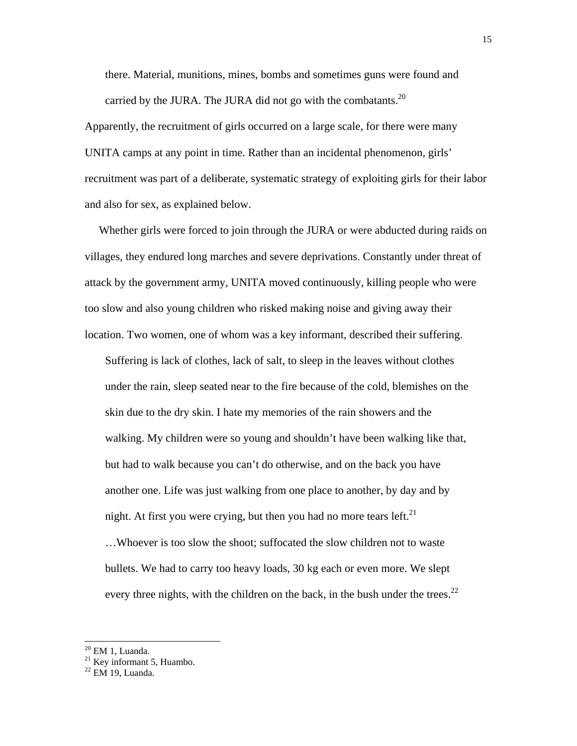there. Material, munitions, mines, bombs and sometimes guns were found and carried by the JURA. The JURA did not go with the combatants.<sup>20</sup>

Apparently, the recruitment of girls occurred on a large scale, for there were many UNITA camps at any point in time. Rather than an incidental phenomenon, girls' recruitment was part of a deliberate, systematic strategy of exploiting girls for their labor and also for sex, as explained below.

 Whether girls were forced to join through the JURA or were abducted during raids on villages, they endured long marches and severe deprivations. Constantly under threat of attack by the government army, UNITA moved continuously, killing people who were too slow and also young children who risked making noise and giving away their location. Two women, one of whom was a key informant, described their suffering.

Suffering is lack of clothes, lack of salt, to sleep in the leaves without clothes under the rain, sleep seated near to the fire because of the cold, blemishes on the skin due to the dry skin. I hate my memories of the rain showers and the walking. My children were so young and shouldn't have been walking like that, but had to walk because you can't do otherwise, and on the back you have another one. Life was just walking from one place to another, by day and by night. At first you were crying, but then you had no more tears left.<sup>21</sup>

…Whoever is too slow the shoot; suffocated the slow children not to waste bullets. We had to carry too heavy loads, 30 kg each or even more. We slept every three nights, with the children on the back, in the bush under the trees.<sup>22</sup>

l

 $20$  EM 1, Luanda.

 $21$  Key informant 5, Huambo.

 $22$  EM 19. Luanda.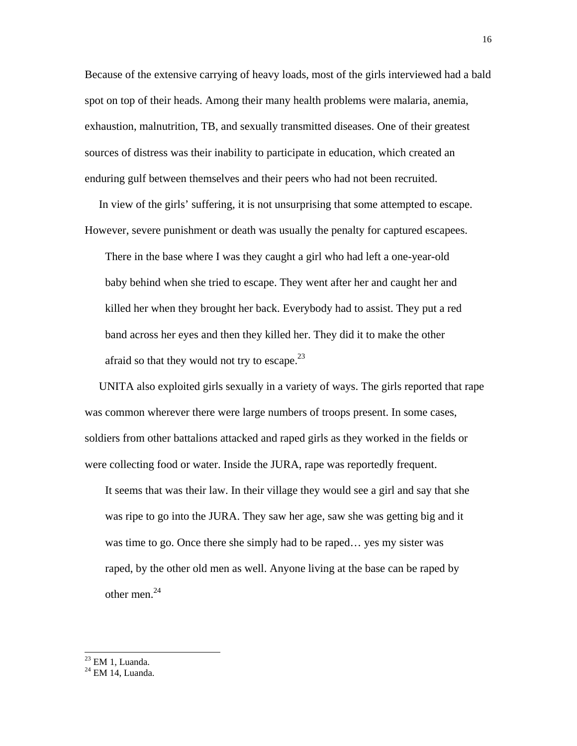Because of the extensive carrying of heavy loads, most of the girls interviewed had a bald spot on top of their heads. Among their many health problems were malaria, anemia, exhaustion, malnutrition, TB, and sexually transmitted diseases. One of their greatest sources of distress was their inability to participate in education, which created an enduring gulf between themselves and their peers who had not been recruited.

 In view of the girls' suffering, it is not unsurprising that some attempted to escape. However, severe punishment or death was usually the penalty for captured escapees.

There in the base where I was they caught a girl who had left a one-year-old baby behind when she tried to escape. They went after her and caught her and killed her when they brought her back. Everybody had to assist. They put a red band across her eyes and then they killed her. They did it to make the other afraid so that they would not try to escape.<sup>23</sup>

 UNITA also exploited girls sexually in a variety of ways. The girls reported that rape was common wherever there were large numbers of troops present. In some cases, soldiers from other battalions attacked and raped girls as they worked in the fields or were collecting food or water. Inside the JURA, rape was reportedly frequent.

It seems that was their law. In their village they would see a girl and say that she was ripe to go into the JURA. They saw her age, saw she was getting big and it was time to go. Once there she simply had to be raped… yes my sister was raped, by the other old men as well. Anyone living at the base can be raped by other men.24

 $23$  EM 1, Luanda.

<sup>24</sup> EM 14, Luanda.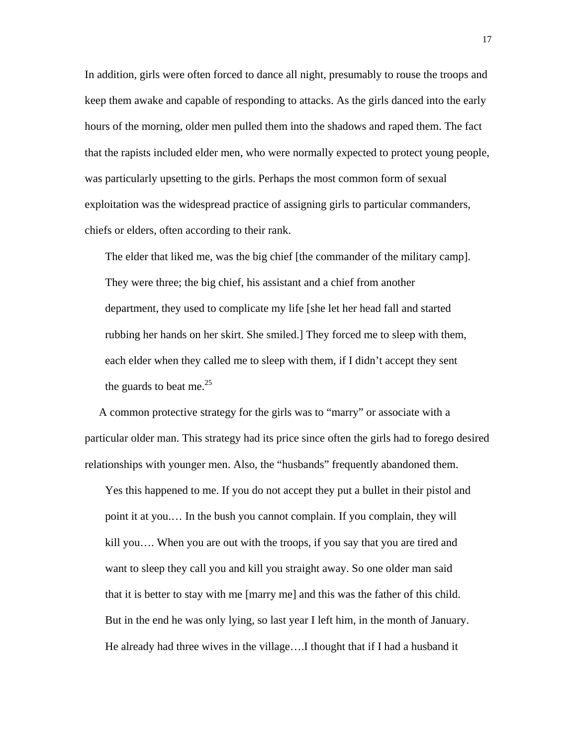In addition, girls were often forced to dance all night, presumably to rouse the troops and keep them awake and capable of responding to attacks. As the girls danced into the early hours of the morning, older men pulled them into the shadows and raped them. The fact that the rapists included elder men, who were normally expected to protect young people, was particularly upsetting to the girls. Perhaps the most common form of sexual exploitation was the widespread practice of assigning girls to particular commanders, chiefs or elders, often according to their rank.

The elder that liked me, was the big chief [the commander of the military camp]. They were three; the big chief, his assistant and a chief from another department, they used to complicate my life [she let her head fall and started rubbing her hands on her skirt. She smiled.] They forced me to sleep with them, each elder when they called me to sleep with them, if I didn't accept they sent the guards to beat me. $^{25}$ 

 A common protective strategy for the girls was to "marry" or associate with a particular older man. This strategy had its price since often the girls had to forego desired relationships with younger men. Also, the "husbands" frequently abandoned them.

Yes this happened to me. If you do not accept they put a bullet in their pistol and point it at you.… In the bush you cannot complain. If you complain, they will kill you…. When you are out with the troops, if you say that you are tired and want to sleep they call you and kill you straight away. So one older man said that it is better to stay with me [marry me] and this was the father of this child. But in the end he was only lying, so last year I left him, in the month of January. He already had three wives in the village….I thought that if I had a husband it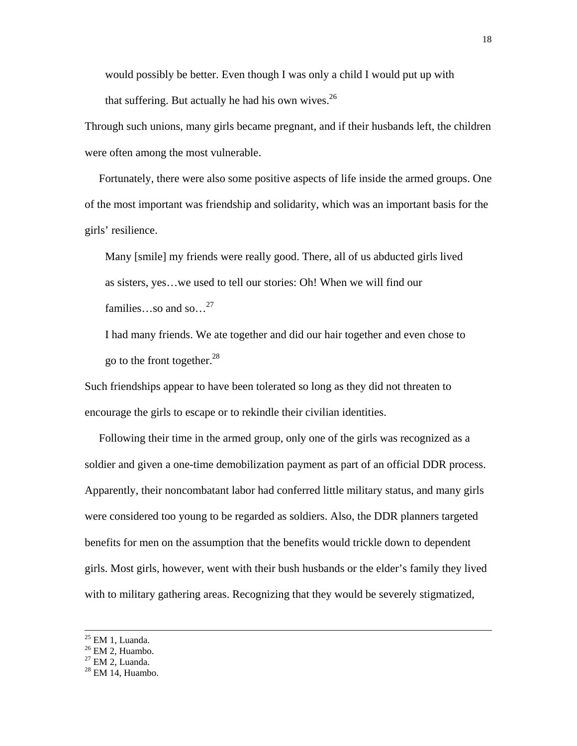would possibly be better. Even though I was only a child I would put up with that suffering. But actually he had his own wives. $^{26}$ 

Through such unions, many girls became pregnant, and if their husbands left, the children were often among the most vulnerable.

 Fortunately, there were also some positive aspects of life inside the armed groups. One of the most important was friendship and solidarity, which was an important basis for the girls' resilience.

Many [smile] my friends were really good. There, all of us abducted girls lived as sisters, yes…we used to tell our stories: Oh! When we will find our families…so and so... $^{27}$ 

I had many friends. We ate together and did our hair together and even chose to go to the front together. $^{28}$ 

Such friendships appear to have been tolerated so long as they did not threaten to encourage the girls to escape or to rekindle their civilian identities.

 Following their time in the armed group, only one of the girls was recognized as a soldier and given a one-time demobilization payment as part of an official DDR process. Apparently, their noncombatant labor had conferred little military status, and many girls were considered too young to be regarded as soldiers. Also, the DDR planners targeted benefits for men on the assumption that the benefits would trickle down to dependent girls. Most girls, however, went with their bush husbands or the elder's family they lived with to military gathering areas. Recognizing that they would be severely stigmatized,

 $25$  EM 1, Luanda.

 $26$  EM 2, Huambo.

 $27$  EM 2, Luanda.

 $28$  EM 14, Huambo.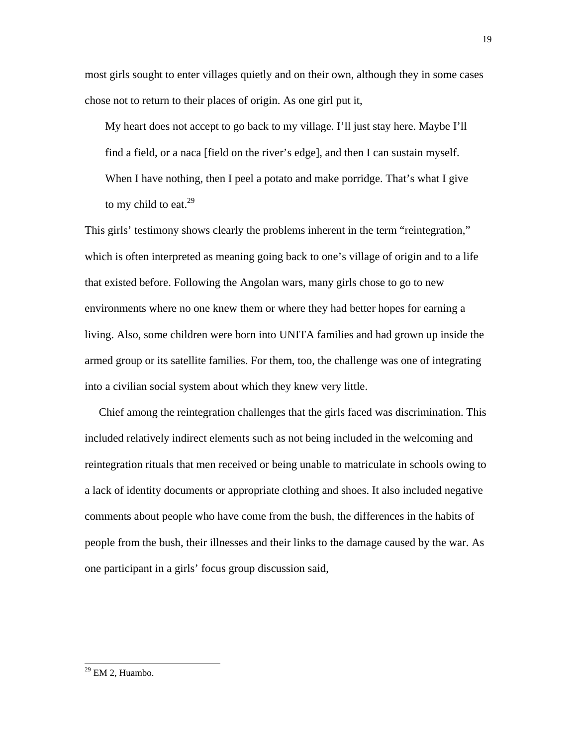most girls sought to enter villages quietly and on their own, although they in some cases chose not to return to their places of origin. As one girl put it,

My heart does not accept to go back to my village. I'll just stay here. Maybe I'll find a field, or a naca [field on the river's edge], and then I can sustain myself. When I have nothing, then I peel a potato and make porridge. That's what I give to my child to eat. $29$ 

This girls' testimony shows clearly the problems inherent in the term "reintegration," which is often interpreted as meaning going back to one's village of origin and to a life that existed before. Following the Angolan wars, many girls chose to go to new environments where no one knew them or where they had better hopes for earning a living. Also, some children were born into UNITA families and had grown up inside the armed group or its satellite families. For them, too, the challenge was one of integrating into a civilian social system about which they knew very little.

 Chief among the reintegration challenges that the girls faced was discrimination. This included relatively indirect elements such as not being included in the welcoming and reintegration rituals that men received or being unable to matriculate in schools owing to a lack of identity documents or appropriate clothing and shoes. It also included negative comments about people who have come from the bush, the differences in the habits of people from the bush, their illnesses and their links to the damage caused by the war. As one participant in a girls' focus group discussion said,

 $29$  EM 2, Huambo.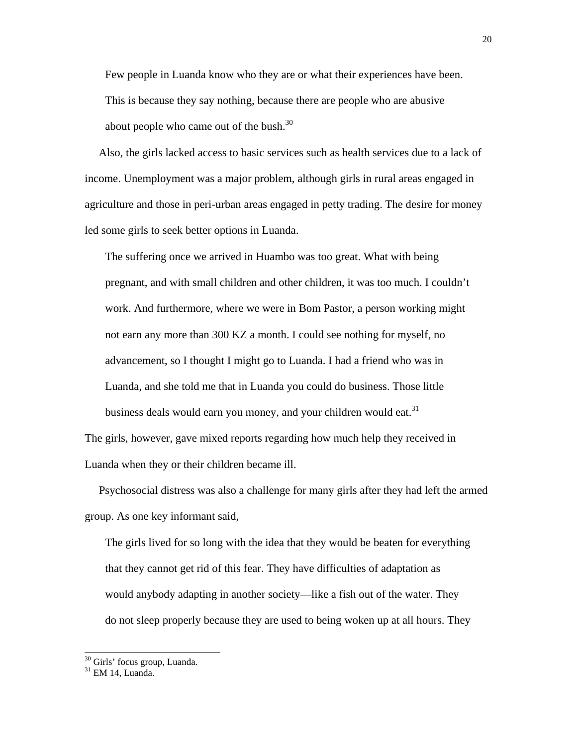Few people in Luanda know who they are or what their experiences have been. This is because they say nothing, because there are people who are abusive about people who came out of the bush. $30<sup>30</sup>$ 

 Also, the girls lacked access to basic services such as health services due to a lack of income. Unemployment was a major problem, although girls in rural areas engaged in agriculture and those in peri-urban areas engaged in petty trading. The desire for money led some girls to seek better options in Luanda.

The suffering once we arrived in Huambo was too great. What with being pregnant, and with small children and other children, it was too much. I couldn't work. And furthermore, where we were in Bom Pastor, a person working might not earn any more than 300 KZ a month. I could see nothing for myself, no advancement, so I thought I might go to Luanda. I had a friend who was in Luanda, and she told me that in Luanda you could do business. Those little business deals would earn you money, and your children would eat.<sup>31</sup>

The girls, however, gave mixed reports regarding how much help they received in Luanda when they or their children became ill.

 Psychosocial distress was also a challenge for many girls after they had left the armed group. As one key informant said,

The girls lived for so long with the idea that they would be beaten for everything that they cannot get rid of this fear. They have difficulties of adaptation as would anybody adapting in another society—like a fish out of the water. They do not sleep properly because they are used to being woken up at all hours. They

<sup>&</sup>lt;sup>30</sup> Girls' focus group, Luanda.

<sup>31</sup> EM 14, Luanda.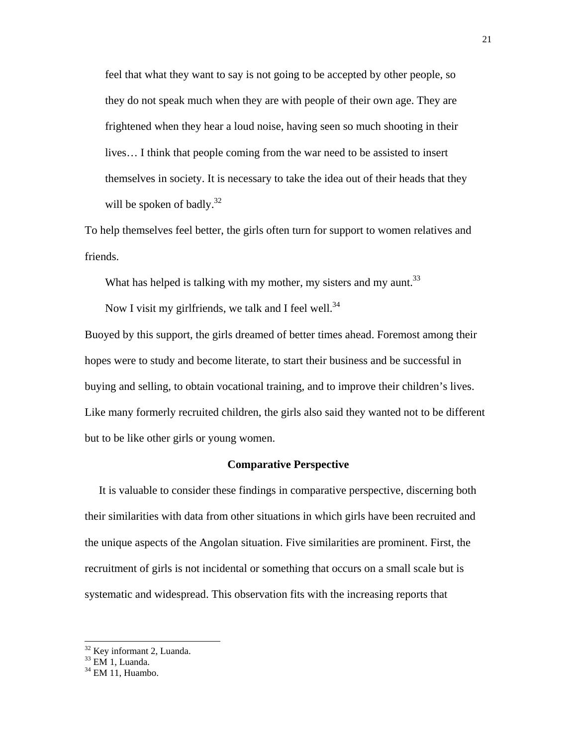feel that what they want to say is not going to be accepted by other people, so they do not speak much when they are with people of their own age. They are frightened when they hear a loud noise, having seen so much shooting in their lives… I think that people coming from the war need to be assisted to insert themselves in society. It is necessary to take the idea out of their heads that they will be spoken of badly. $32$ 

To help themselves feel better, the girls often turn for support to women relatives and friends.

What has helped is talking with my mother, my sisters and my aunt.<sup>33</sup>

Now I visit my girlfriends, we talk and I feel well. $34$ 

Buoyed by this support, the girls dreamed of better times ahead. Foremost among their hopes were to study and become literate, to start their business and be successful in buying and selling, to obtain vocational training, and to improve their children's lives. Like many formerly recruited children, the girls also said they wanted not to be different but to be like other girls or young women.

# **Comparative Perspective**

 It is valuable to consider these findings in comparative perspective, discerning both their similarities with data from other situations in which girls have been recruited and the unique aspects of the Angolan situation. Five similarities are prominent. First, the recruitment of girls is not incidental or something that occurs on a small scale but is systematic and widespread. This observation fits with the increasing reports that

l

<sup>&</sup>lt;sup>32</sup> Key informant 2, Luanda.

 $33$  EM 1, Luanda.

 $34$  EM 11, Huambo.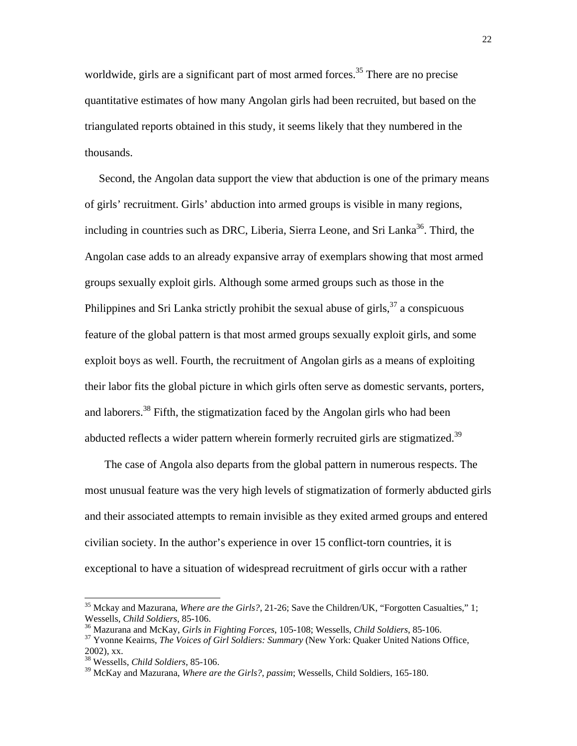worldwide, girls are a significant part of most armed forces.<sup>35</sup> There are no precise quantitative estimates of how many Angolan girls had been recruited, but based on the triangulated reports obtained in this study, it seems likely that they numbered in the thousands.

 Second, the Angolan data support the view that abduction is one of the primary means of girls' recruitment. Girls' abduction into armed groups is visible in many regions, including in countries such as DRC, Liberia, Sierra Leone, and Sri Lanka<sup>36</sup>. Third, the Angolan case adds to an already expansive array of exemplars showing that most armed groups sexually exploit girls. Although some armed groups such as those in the Philippines and Sri Lanka strictly prohibit the sexual abuse of girls,  $3^7$  a conspicuous feature of the global pattern is that most armed groups sexually exploit girls, and some exploit boys as well. Fourth, the recruitment of Angolan girls as a means of exploiting their labor fits the global picture in which girls often serve as domestic servants, porters, and laborers.<sup>38</sup> Fifth, the stigmatization faced by the Angolan girls who had been abducted reflects a wider pattern wherein formerly recruited girls are stigmatized.<sup>39</sup>

 The case of Angola also departs from the global pattern in numerous respects. The most unusual feature was the very high levels of stigmatization of formerly abducted girls and their associated attempts to remain invisible as they exited armed groups and entered civilian society. In the author's experience in over 15 conflict-torn countries, it is exceptional to have a situation of widespread recruitment of girls occur with a rather

<sup>&</sup>lt;sup>35</sup> Mckay and Mazurana, *Where are the Girls?*, 21-26; Save the Children/UK, "Forgotten Casualties," 1; Wessells, *Child Soldiers*, 85-106.

 $^{36}$  Mazurana and McKay, *Girls in Fighting Forces*, 105-108; Wessells, *Child Soldiers*, 85-106.<br><sup>37</sup> Yvonne Keairns, *The Voices of Girl Soldiers: Summary* (New York: Quaker United Nations Office,

<sup>2002),</sup> xx.

<sup>38</sup> Wessells, *Child Soldiers*, 85-106.

<sup>39</sup> McKay and Mazurana, *Where are the Girls?*, *passim*; Wessells, Child Soldiers, 165-180.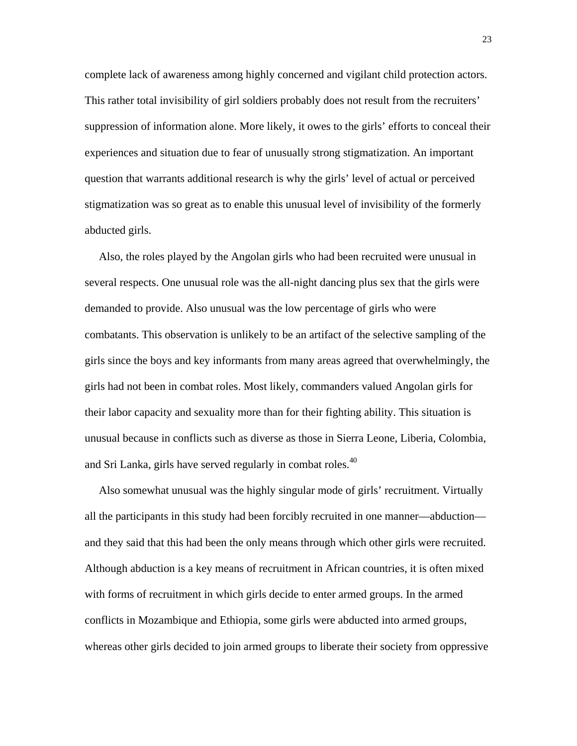complete lack of awareness among highly concerned and vigilant child protection actors. This rather total invisibility of girl soldiers probably does not result from the recruiters' suppression of information alone. More likely, it owes to the girls' efforts to conceal their experiences and situation due to fear of unusually strong stigmatization. An important question that warrants additional research is why the girls' level of actual or perceived stigmatization was so great as to enable this unusual level of invisibility of the formerly abducted girls.

 Also, the roles played by the Angolan girls who had been recruited were unusual in several respects. One unusual role was the all-night dancing plus sex that the girls were demanded to provide. Also unusual was the low percentage of girls who were combatants. This observation is unlikely to be an artifact of the selective sampling of the girls since the boys and key informants from many areas agreed that overwhelmingly, the girls had not been in combat roles. Most likely, commanders valued Angolan girls for their labor capacity and sexuality more than for their fighting ability. This situation is unusual because in conflicts such as diverse as those in Sierra Leone, Liberia, Colombia, and Sri Lanka, girls have served regularly in combat roles. $40$ 

 Also somewhat unusual was the highly singular mode of girls' recruitment. Virtually all the participants in this study had been forcibly recruited in one manner—abduction and they said that this had been the only means through which other girls were recruited. Although abduction is a key means of recruitment in African countries, it is often mixed with forms of recruitment in which girls decide to enter armed groups. In the armed conflicts in Mozambique and Ethiopia, some girls were abducted into armed groups, whereas other girls decided to join armed groups to liberate their society from oppressive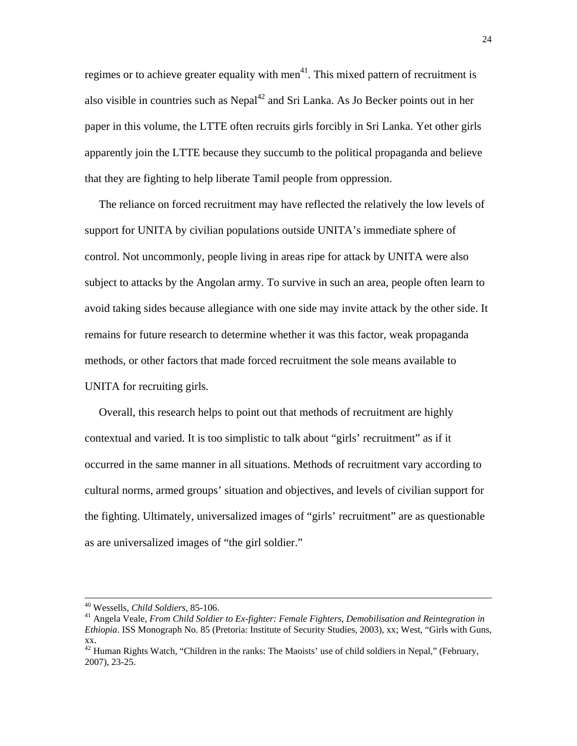regimes or to achieve greater equality with men<sup>41</sup>. This mixed pattern of recruitment is also visible in countries such as  $Nepal<sup>42</sup>$  and Sri Lanka. As Jo Becker points out in her paper in this volume, the LTTE often recruits girls forcibly in Sri Lanka. Yet other girls apparently join the LTTE because they succumb to the political propaganda and believe that they are fighting to help liberate Tamil people from oppression.

 The reliance on forced recruitment may have reflected the relatively the low levels of support for UNITA by civilian populations outside UNITA's immediate sphere of control. Not uncommonly, people living in areas ripe for attack by UNITA were also subject to attacks by the Angolan army. To survive in such an area, people often learn to avoid taking sides because allegiance with one side may invite attack by the other side. It remains for future research to determine whether it was this factor, weak propaganda methods, or other factors that made forced recruitment the sole means available to UNITA for recruiting girls.

 Overall, this research helps to point out that methods of recruitment are highly contextual and varied. It is too simplistic to talk about "girls' recruitment" as if it occurred in the same manner in all situations. Methods of recruitment vary according to cultural norms, armed groups' situation and objectives, and levels of civilian support for the fighting. Ultimately, universalized images of "girls' recruitment" are as questionable as are universalized images of "the girl soldier."

<sup>&</sup>lt;sup>40</sup> Wessells, *Child Soldiers*, 85-106.<br><sup>41</sup> Angela Veale, *From Child Soldier to Ex-fighter: Female Fighters, Demobilisation and Reintegration in Ethiopia*. ISS Monograph No. 85 (Pretoria: Institute of Security Studies, 2003), xx; West, "Girls with Guns, xx.

 $42$  Human Rights Watch, "Children in the ranks: The Maoists' use of child soldiers in Nepal," (February, 2007), 23-25.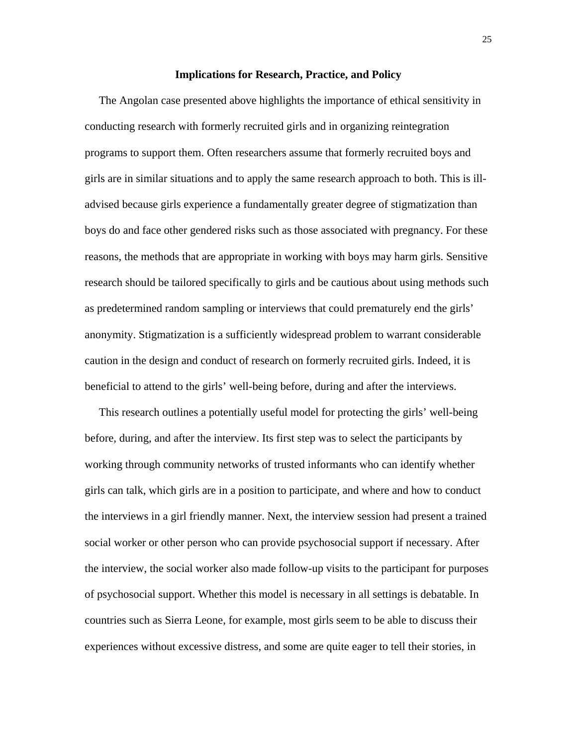#### **Implications for Research, Practice, and Policy**

 The Angolan case presented above highlights the importance of ethical sensitivity in conducting research with formerly recruited girls and in organizing reintegration programs to support them. Often researchers assume that formerly recruited boys and girls are in similar situations and to apply the same research approach to both. This is illadvised because girls experience a fundamentally greater degree of stigmatization than boys do and face other gendered risks such as those associated with pregnancy. For these reasons, the methods that are appropriate in working with boys may harm girls. Sensitive research should be tailored specifically to girls and be cautious about using methods such as predetermined random sampling or interviews that could prematurely end the girls' anonymity. Stigmatization is a sufficiently widespread problem to warrant considerable caution in the design and conduct of research on formerly recruited girls. Indeed, it is beneficial to attend to the girls' well-being before, during and after the interviews.

 This research outlines a potentially useful model for protecting the girls' well-being before, during, and after the interview. Its first step was to select the participants by working through community networks of trusted informants who can identify whether girls can talk, which girls are in a position to participate, and where and how to conduct the interviews in a girl friendly manner. Next, the interview session had present a trained social worker or other person who can provide psychosocial support if necessary. After the interview, the social worker also made follow-up visits to the participant for purposes of psychosocial support. Whether this model is necessary in all settings is debatable. In countries such as Sierra Leone, for example, most girls seem to be able to discuss their experiences without excessive distress, and some are quite eager to tell their stories, in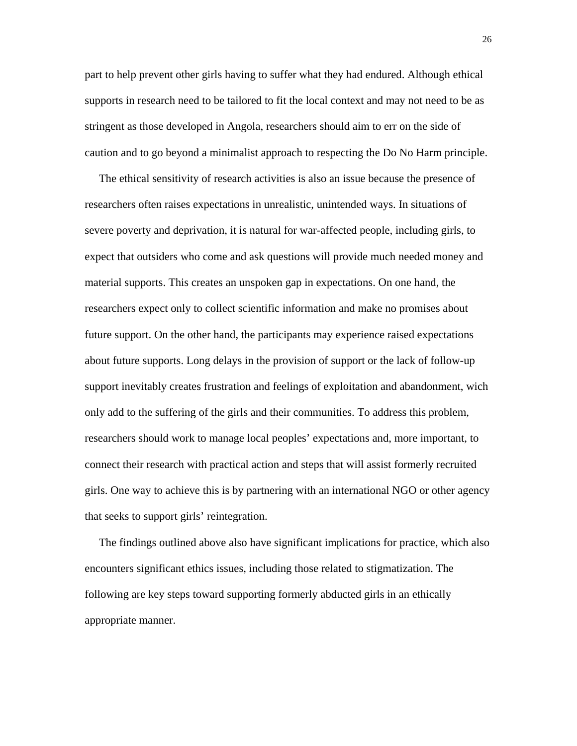part to help prevent other girls having to suffer what they had endured. Although ethical supports in research need to be tailored to fit the local context and may not need to be as stringent as those developed in Angola, researchers should aim to err on the side of caution and to go beyond a minimalist approach to respecting the Do No Harm principle.

 The ethical sensitivity of research activities is also an issue because the presence of researchers often raises expectations in unrealistic, unintended ways. In situations of severe poverty and deprivation, it is natural for war-affected people, including girls, to expect that outsiders who come and ask questions will provide much needed money and material supports. This creates an unspoken gap in expectations. On one hand, the researchers expect only to collect scientific information and make no promises about future support. On the other hand, the participants may experience raised expectations about future supports. Long delays in the provision of support or the lack of follow-up support inevitably creates frustration and feelings of exploitation and abandonment, wich only add to the suffering of the girls and their communities. To address this problem, researchers should work to manage local peoples' expectations and, more important, to connect their research with practical action and steps that will assist formerly recruited girls. One way to achieve this is by partnering with an international NGO or other agency that seeks to support girls' reintegration.

 The findings outlined above also have significant implications for practice, which also encounters significant ethics issues, including those related to stigmatization. The following are key steps toward supporting formerly abducted girls in an ethically appropriate manner.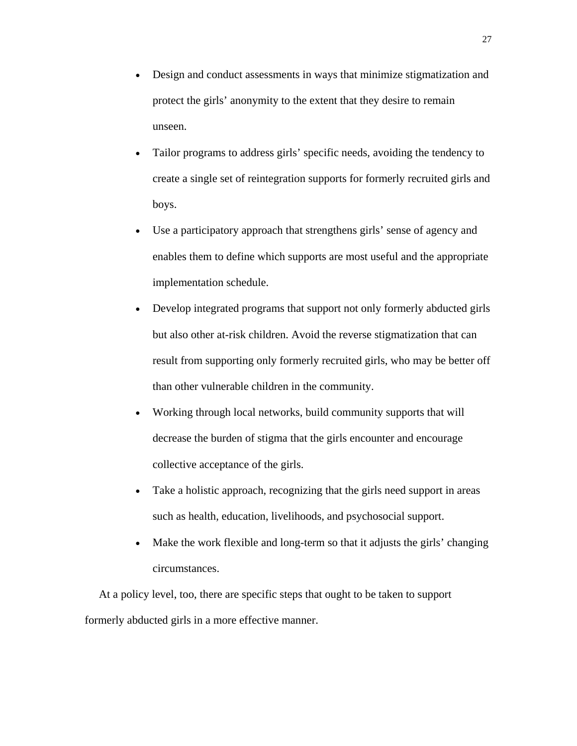- Design and conduct assessments in ways that minimize stigmatization and protect the girls' anonymity to the extent that they desire to remain unseen.
- Tailor programs to address girls' specific needs, avoiding the tendency to create a single set of reintegration supports for formerly recruited girls and boys.
- Use a participatory approach that strengthens girls' sense of agency and enables them to define which supports are most useful and the appropriate implementation schedule.
- Develop integrated programs that support not only formerly abducted girls but also other at-risk children. Avoid the reverse stigmatization that can result from supporting only formerly recruited girls, who may be better off than other vulnerable children in the community.
- Working through local networks, build community supports that will decrease the burden of stigma that the girls encounter and encourage collective acceptance of the girls.
- Take a holistic approach, recognizing that the girls need support in areas such as health, education, livelihoods, and psychosocial support.
- Make the work flexible and long-term so that it adjusts the girls' changing circumstances.

 At a policy level, too, there are specific steps that ought to be taken to support formerly abducted girls in a more effective manner.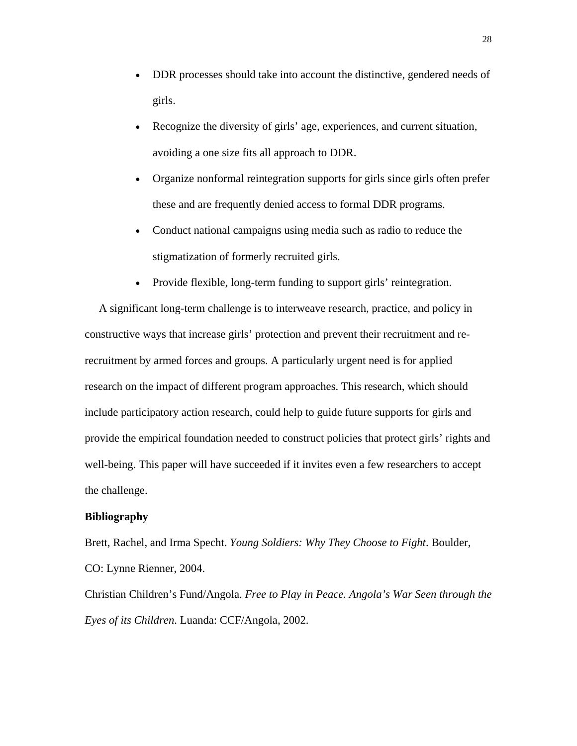- DDR processes should take into account the distinctive, gendered needs of girls.
- Recognize the diversity of girls' age, experiences, and current situation, avoiding a one size fits all approach to DDR.
- Organize nonformal reintegration supports for girls since girls often prefer these and are frequently denied access to formal DDR programs.
- Conduct national campaigns using media such as radio to reduce the stigmatization of formerly recruited girls.
- Provide flexible, long-term funding to support girls' reintegration.

 A significant long-term challenge is to interweave research, practice, and policy in constructive ways that increase girls' protection and prevent their recruitment and rerecruitment by armed forces and groups. A particularly urgent need is for applied research on the impact of different program approaches. This research, which should include participatory action research, could help to guide future supports for girls and provide the empirical foundation needed to construct policies that protect girls' rights and well-being. This paper will have succeeded if it invites even a few researchers to accept the challenge.

# **Bibliography**

Brett, Rachel, and Irma Specht. *Young Soldiers: Why They Choose to Fight*. Boulder, CO: Lynne Rienner, 2004.

Christian Children's Fund/Angola. *Free to Play in Peace. Angola's War Seen through the Eyes of its Children*. Luanda: CCF/Angola, 2002.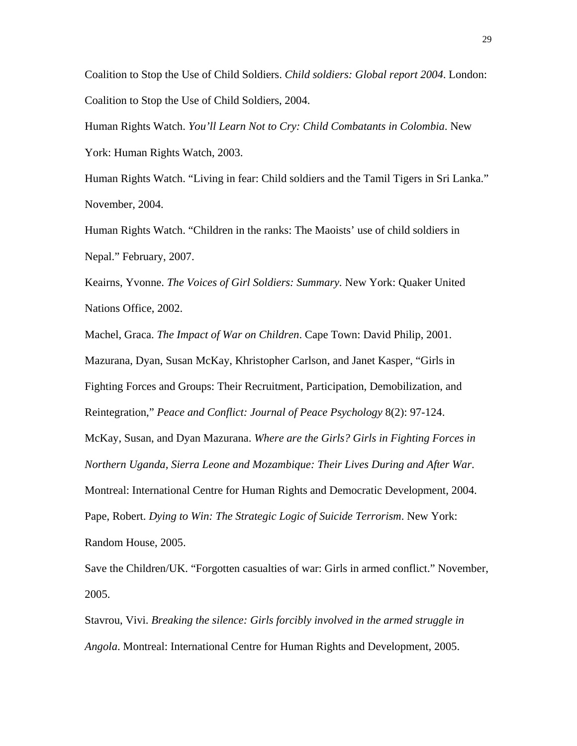Coalition to Stop the Use of Child Soldiers. *Child soldiers: Global report 2004*. London: Coalition to Stop the Use of Child Soldiers, 2004.

Human Rights Watch. *You'll Learn Not to Cry: Child Combatants in Colombia*. New York: Human Rights Watch, 2003.

Human Rights Watch. "Living in fear: Child soldiers and the Tamil Tigers in Sri Lanka." November, 2004.

Human Rights Watch. "Children in the ranks: The Maoists' use of child soldiers in Nepal." February, 2007.

Keairns, Yvonne. *The Voices of Girl Soldiers: Summary.* New York: Quaker United Nations Office, 2002.

Machel, Graca. *The Impact of War on Children*. Cape Town: David Philip, 2001. Mazurana, Dyan, Susan McKay, Khristopher Carlson, and Janet Kasper, "Girls in Fighting Forces and Groups: Their Recruitment, Participation, Demobilization, and Reintegration," *Peace and Conflict: Journal of Peace Psychology* 8(2): 97-124. McKay, Susan, and Dyan Mazurana. *Where are the Girls? Girls in Fighting Forces in Northern Uganda, Sierra Leone and Mozambique: Their Lives During and After War*. Montreal: International Centre for Human Rights and Democratic Development, 2004. Pape, Robert. *Dying to Win: The Strategic Logic of Suicide Terrorism*. New York: Random House, 2005.

Save the Children/UK. "Forgotten casualties of war: Girls in armed conflict." November, 2005.

Stavrou, Vivi. *Breaking the silence: Girls forcibly involved in the armed struggle in Angola*. Montreal: International Centre for Human Rights and Development, 2005.